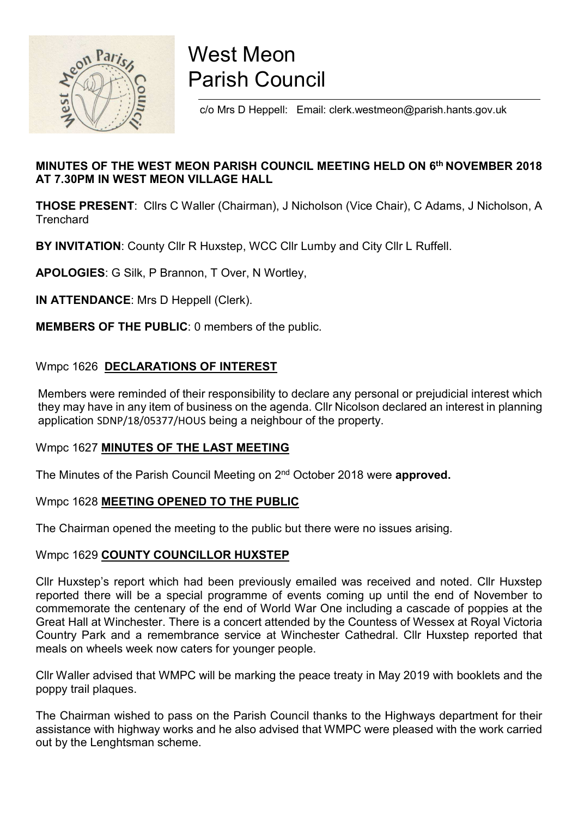

# West Meon Parish Council

c/o Mrs D Heppell: Email: clerk.westmeon@parish.hants.gov.uk

# MINUTES OF THE WEST MEON PARISH COUNCIL MEETING HELD ON 6th NOVEMBER 2018 AT 7.30PM IN WEST MEON VILLAGE HALL

THOSE PRESENT: Cllrs C Waller (Chairman), J Nicholson (Vice Chair), C Adams, J Nicholson, A **Trenchard** 

BY INVITATION: County Cllr R Huxstep, WCC Cllr Lumby and City Cllr L Ruffell.

APOLOGIES: G Silk, P Brannon, T Over, N Wortley,

IN ATTENDANCE: Mrs D Heppell (Clerk).

MEMBERS OF THE PUBLIC: 0 members of the public.

#### Wmpc 1626 DECLARATIONS OF INTEREST

 Members were reminded of their responsibility to declare any personal or prejudicial interest which they may have in any item of business on the agenda. Cllr Nicolson declared an interest in planning application SDNP/18/05377/HOUS being a neighbour of the property.

#### Wmpc 1627 MINUTES OF THE LAST MEETING

The Minutes of the Parish Council Meeting on 2<sup>nd</sup> October 2018 were approved.

#### Wmpc 1628 MEETING OPENED TO THE PUBLIC

The Chairman opened the meeting to the public but there were no issues arising.

#### Wmpc 1629 COUNTY COUNCILLOR HUXSTEP

Cllr Huxstep's report which had been previously emailed was received and noted. Cllr Huxstep reported there will be a special programme of events coming up until the end of November to commemorate the centenary of the end of World War One including a cascade of poppies at the Great Hall at Winchester. There is a concert attended by the Countess of Wessex at Royal Victoria Country Park and a remembrance service at Winchester Cathedral. Cllr Huxstep reported that meals on wheels week now caters for younger people.

Cllr Waller advised that WMPC will be marking the peace treaty in May 2019 with booklets and the poppy trail plaques.

The Chairman wished to pass on the Parish Council thanks to the Highways department for their assistance with highway works and he also advised that WMPC were pleased with the work carried out by the Lenghtsman scheme.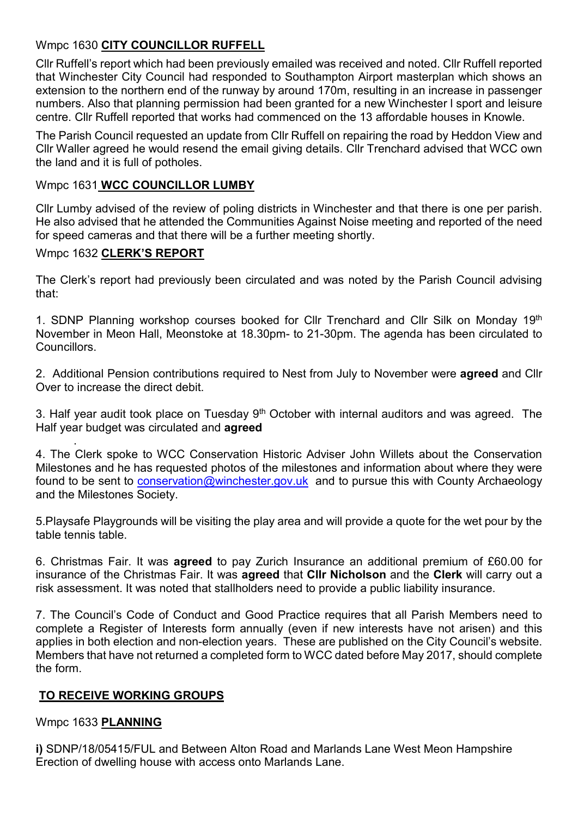# Wmpc 1630 CITY COUNCILLOR RUFFELL

Cllr Ruffell's report which had been previously emailed was received and noted. Cllr Ruffell reported that Winchester City Council had responded to Southampton Airport masterplan which shows an extension to the northern end of the runway by around 170m, resulting in an increase in passenger numbers. Also that planning permission had been granted for a new Winchester l sport and leisure centre. Cllr Ruffell reported that works had commenced on the 13 affordable houses in Knowle.

The Parish Council requested an update from Cllr Ruffell on repairing the road by Heddon View and Cllr Waller agreed he would resend the email giving details. Cllr Trenchard advised that WCC own the land and it is full of potholes.

#### Wmpc 1631 WCC COUNCILLOR LUMBY

Cllr Lumby advised of the review of poling districts in Winchester and that there is one per parish. He also advised that he attended the Communities Against Noise meeting and reported of the need for speed cameras and that there will be a further meeting shortly.

#### Wmpc 1632 CLERK'S REPORT

The Clerk's report had previously been circulated and was noted by the Parish Council advising that:

1. SDNP Planning workshop courses booked for Cllr Trenchard and Cllr Silk on Monday 19<sup>th</sup> November in Meon Hall, Meonstoke at 18.30pm- to 21-30pm. The agenda has been circulated to Councillors.

2. Additional Pension contributions required to Nest from July to November were agreed and Cllr Over to increase the direct debit.

3. Half year audit took place on Tuesday 9<sup>th</sup> October with internal auditors and was agreed. The Half year budget was circulated and **agreed** 

. 4. The Clerk spoke to WCC Conservation Historic Adviser John Willets about the Conservation Milestones and he has requested photos of the milestones and information about where they were found to be sent to conservation@winchester.gov.uk and to pursue this with County Archaeology and the Milestones Society.

5.Playsafe Playgrounds will be visiting the play area and will provide a quote for the wet pour by the table tennis table.

6. Christmas Fair. It was agreed to pay Zurich Insurance an additional premium of £60.00 for insurance of the Christmas Fair. It was agreed that Cllr Nicholson and the Clerk will carry out a risk assessment. It was noted that stallholders need to provide a public liability insurance.

7. The Council's Code of Conduct and Good Practice requires that all Parish Members need to complete a Register of Interests form annually (even if new interests have not arisen) and this applies in both election and non-election years. These are published on the City Council's website. Members that have not returned a completed form to WCC dated before May 2017, should complete the form.

# TO RECEIVE WORKING GROUPS

# Wmpc 1633 PLANNING

i) SDNP/18/05415/FUL and Between Alton Road and Marlands Lane West Meon Hampshire Erection of dwelling house with access onto Marlands Lane.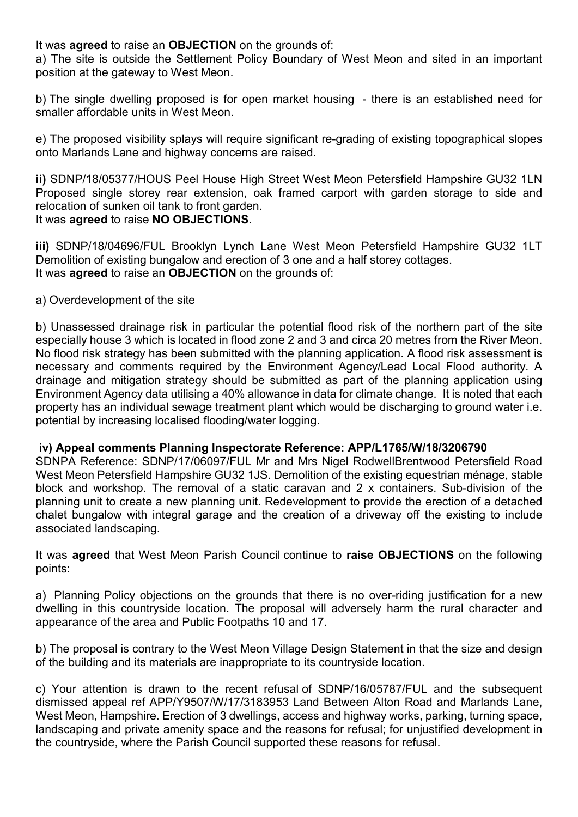It was **agreed** to raise an **OBJECTION** on the grounds of:

a) The site is outside the Settlement Policy Boundary of West Meon and sited in an important position at the gateway to West Meon.

b) The single dwelling proposed is for open market housing - there is an established need for smaller affordable units in West Meon.

e) The proposed visibility splays will require significant re-grading of existing topographical slopes onto Marlands Lane and highway concerns are raised.

ii) SDNP/18/05377/HOUS Peel House High Street West Meon Petersfield Hampshire GU32 1LN Proposed single storey rear extension, oak framed carport with garden storage to side and relocation of sunken oil tank to front garden. It was **agreed** to raise **NO OBJECTIONS.** 

iii) SDNP/18/04696/FUL Brooklyn Lynch Lane West Meon Petersfield Hampshire GU32 1LT Demolition of existing bungalow and erection of 3 one and a half storey cottages. It was **agreed** to raise an **OBJECTION** on the grounds of:

#### a) Overdevelopment of the site

b) Unassessed drainage risk in particular the potential flood risk of the northern part of the site especially house 3 which is located in flood zone 2 and 3 and circa 20 metres from the River Meon. No flood risk strategy has been submitted with the planning application. A flood risk assessment is necessary and comments required by the Environment Agency/Lead Local Flood authority. A drainage and mitigation strategy should be submitted as part of the planning application using Environment Agency data utilising a 40% allowance in data for climate change. It is noted that each property has an individual sewage treatment plant which would be discharging to ground water i.e. potential by increasing localised flooding/water logging.

#### iv) Appeal comments Planning Inspectorate Reference: APP/L1765/W/18/3206790

SDNPA Reference: SDNP/17/06097/FUL Mr and Mrs Nigel RodwellBrentwood Petersfield Road West Meon Petersfield Hampshire GU32 1JS. Demolition of the existing equestrian ménage, stable block and workshop. The removal of a static caravan and 2 x containers. Sub-division of the planning unit to create a new planning unit. Redevelopment to provide the erection of a detached chalet bungalow with integral garage and the creation of a driveway off the existing to include associated landscaping.

It was agreed that West Meon Parish Council continue to raise OBJECTIONS on the following points:

a) Planning Policy objections on the grounds that there is no over-riding justification for a new dwelling in this countryside location. The proposal will adversely harm the rural character and appearance of the area and Public Footpaths 10 and 17.

b) The proposal is contrary to the West Meon Village Design Statement in that the size and design of the building and its materials are inappropriate to its countryside location.

c) Your attention is drawn to the recent refusal of SDNP/16/05787/FUL and the subsequent dismissed appeal ref APP/Y9507/W/17/3183953 Land Between Alton Road and Marlands Lane, West Meon, Hampshire. Erection of 3 dwellings, access and highway works, parking, turning space, landscaping and private amenity space and the reasons for refusal; for unjustified development in the countryside, where the Parish Council supported these reasons for refusal.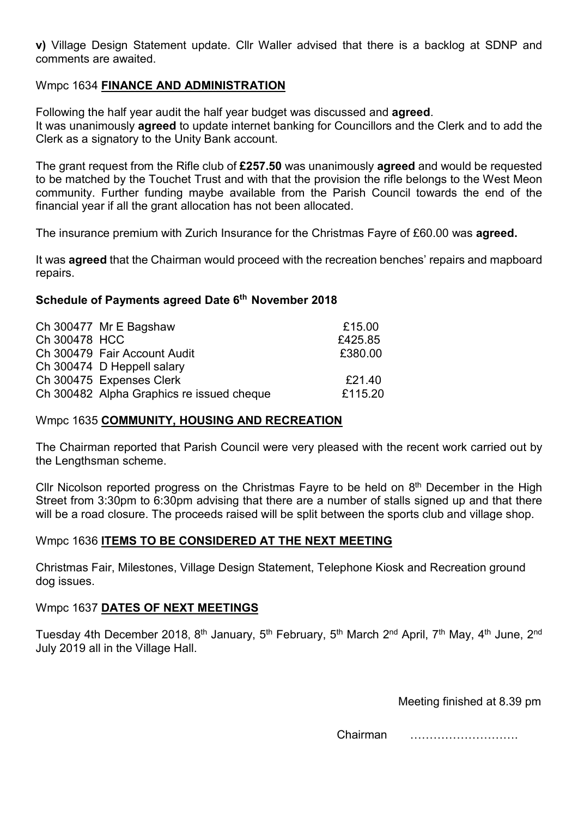v) Village Design Statement update. Cllr Waller advised that there is a backlog at SDNP and comments are awaited.

#### Wmpc 1634 FINANCE AND ADMINISTRATION

Following the half year audit the half year budget was discussed and **agreed**. It was unanimously agreed to update internet banking for Councillors and the Clerk and to add the Clerk as a signatory to the Unity Bank account.

The grant request from the Rifle club of £257.50 was unanimously agreed and would be requested to be matched by the Touchet Trust and with that the provision the rifle belongs to the West Meon community. Further funding maybe available from the Parish Council towards the end of the financial year if all the grant allocation has not been allocated.

The insurance premium with Zurich Insurance for the Christmas Fayre of £60.00 was **agreed.** 

It was **agreed** that the Chairman would proceed with the recreation benches' repairs and mapboard repairs.

#### Schedule of Payments agreed Date 6<sup>th</sup> November 2018

|               | Ch 300477 Mr E Bagshaw                    | £15.00  |
|---------------|-------------------------------------------|---------|
| Ch 300478 HCC |                                           | £425.85 |
|               | Ch 300479 Fair Account Audit              | £380.00 |
|               | Ch 300474 D Heppell salary                |         |
|               | Ch 300475 Expenses Clerk                  | £21.40  |
|               | Ch 300482 Alpha Graphics re issued cheque | £115.20 |

#### Wmpc 1635 COMMUNITY, HOUSING AND RECREATION

The Chairman reported that Parish Council were very pleased with the recent work carried out by the Lengthsman scheme.

Cllr Nicolson reported progress on the Christmas Fayre to be held on 8<sup>th</sup> December in the High Street from 3:30pm to 6:30pm advising that there are a number of stalls signed up and that there will be a road closure. The proceeds raised will be split between the sports club and village shop.

#### Wmpc 1636 ITEMS TO BE CONSIDERED AT THE NEXT MEETING

Christmas Fair, Milestones, Village Design Statement, Telephone Kiosk and Recreation ground dog issues.

#### Wmpc 1637 DATES OF NEXT MEETINGS

Tuesday 4th December 2018, 8<sup>th</sup> January, 5<sup>th</sup> February, 5<sup>th</sup> March 2<sup>nd</sup> April, 7<sup>th</sup> May, 4<sup>th</sup> June, 2<sup>nd</sup> July 2019 all in the Village Hall.

Meeting finished at 8.39 pm

Chairman ……………………….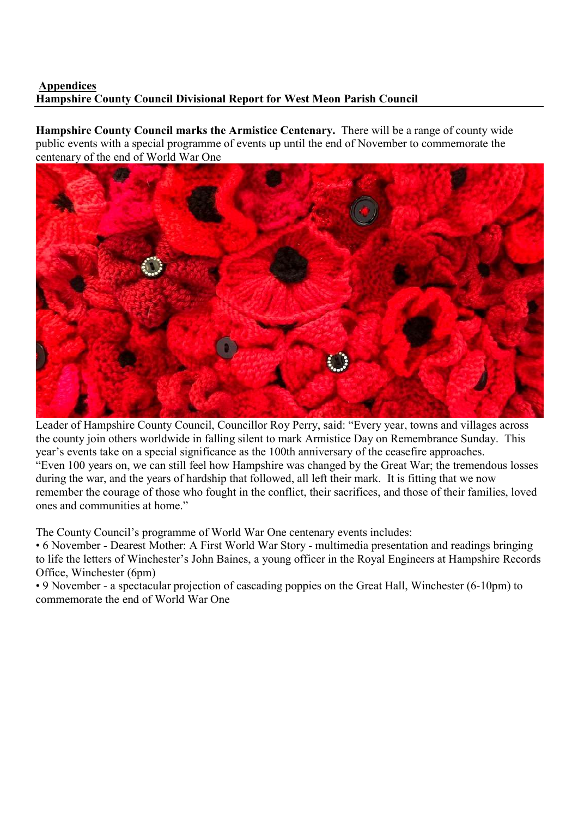#### Appendices Hampshire County Council Divisional Report for West Meon Parish Council

Hampshire County Council marks the Armistice Centenary. There will be a range of county wide public events with a special programme of events up until the end of November to commemorate the centenary of the end of World War One



Leader of Hampshire County Council, Councillor Roy Perry, said: "Every year, towns and villages across the county join others worldwide in falling silent to mark Armistice Day on Remembrance Sunday. This year's events take on a special significance as the 100th anniversary of the ceasefire approaches. "Even 100 years on, we can still feel how Hampshire was changed by the Great War; the tremendous losses during the war, and the years of hardship that followed, all left their mark. It is fitting that we now remember the courage of those who fought in the conflict, their sacrifices, and those of their families, loved ones and communities at home."

The County Council's programme of World War One centenary events includes:

• 6 November - Dearest Mother: A First World War Story - multimedia presentation and readings bringing to life the letters of Winchester's John Baines, a young officer in the Royal Engineers at Hampshire Records Office, Winchester (6pm)

• 9 November - a spectacular projection of cascading poppies on the Great Hall, Winchester (6-10pm) to commemorate the end of World War One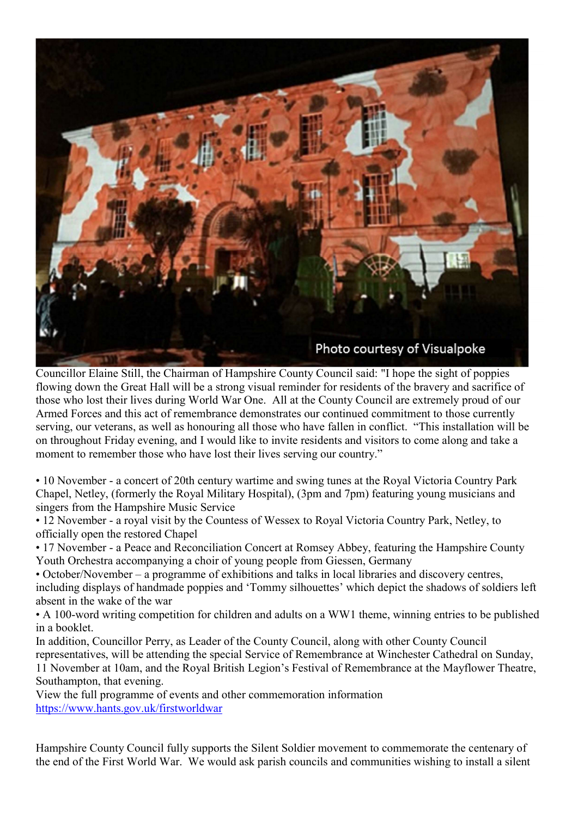

Councillor Elaine Still, the Chairman of Hampshire County Council said: "I hope the sight of poppies flowing down the Great Hall will be a strong visual reminder for residents of the bravery and sacrifice of those who lost their lives during World War One. All at the County Council are extremely proud of our Armed Forces and this act of remembrance demonstrates our continued commitment to those currently serving, our veterans, as well as honouring all those who have fallen in conflict. "This installation will be on throughout Friday evening, and I would like to invite residents and visitors to come along and take a moment to remember those who have lost their lives serving our country."

• 10 November - a concert of 20th century wartime and swing tunes at the Royal Victoria Country Park Chapel, Netley, (formerly the Royal Military Hospital), (3pm and 7pm) featuring young musicians and singers from the Hampshire Music Service

• 12 November - a royal visit by the Countess of Wessex to Royal Victoria Country Park, Netley, to officially open the restored Chapel

• 17 November - a Peace and Reconciliation Concert at Romsey Abbey, featuring the Hampshire County Youth Orchestra accompanying a choir of young people from Giessen, Germany

• October/November – a programme of exhibitions and talks in local libraries and discovery centres, including displays of handmade poppies and 'Tommy silhouettes' which depict the shadows of soldiers left absent in the wake of the war

• A 100-word writing competition for children and adults on a WW1 theme, winning entries to be published in a booklet.

In addition, Councillor Perry, as Leader of the County Council, along with other County Council representatives, will be attending the special Service of Remembrance at Winchester Cathedral on Sunday, 11 November at 10am, and the Royal British Legion's Festival of Remembrance at the Mayflower Theatre, Southampton, that evening.

View the full programme of events and other commemoration information https://www.hants.gov.uk/firstworldwar

Hampshire County Council fully supports the Silent Soldier movement to commemorate the centenary of the end of the First World War. We would ask parish councils and communities wishing to install a silent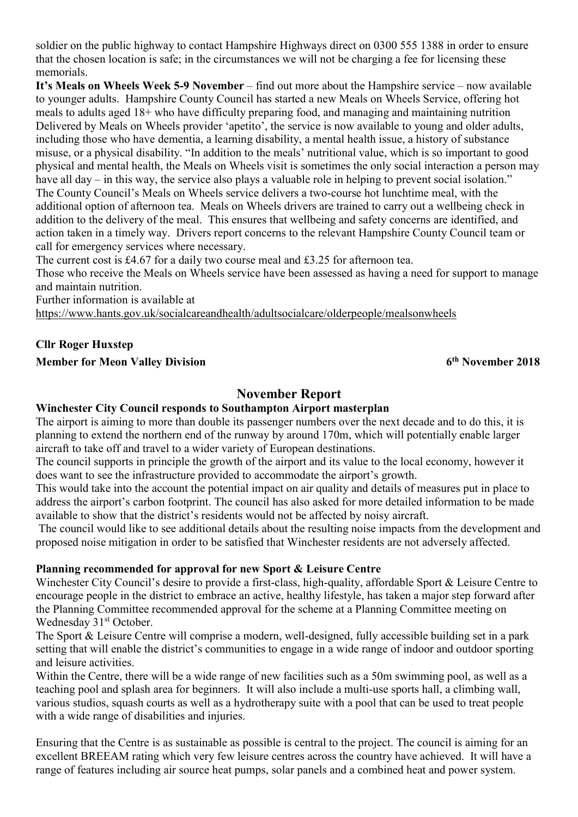soldier on the public highway to contact Hampshire Highways direct on 0300 555 1388 in order to ensure that the chosen location is safe; in the circumstances we will not be charging a fee for licensing these memorials.

It's Meals on Wheels Week 5-9 November – find out more about the Hampshire service – now available to younger adults. Hampshire County Council has started a new Meals on Wheels Service, offering hot meals to adults aged 18+ who have difficulty preparing food, and managing and maintaining nutrition Delivered by Meals on Wheels provider 'apetito', the service is now available to young and older adults, including those who have dementia, a learning disability, a mental health issue, a history of substance misuse, or a physical disability. "In addition to the meals' nutritional value, which is so important to good physical and mental health, the Meals on Wheels visit is sometimes the only social interaction a person may have all day – in this way, the service also plays a valuable role in helping to prevent social isolation." The County Council's Meals on Wheels service delivers a two-course hot lunchtime meal, with the additional option of afternoon tea. Meals on Wheels drivers are trained to carry out a wellbeing check in addition to the delivery of the meal. This ensures that wellbeing and safety concerns are identified, and action taken in a timely way. Drivers report concerns to the relevant Hampshire County Council team or call for emergency services where necessary.

The current cost is £4.67 for a daily two course meal and £3.25 for afternoon tea.

Those who receive the Meals on Wheels service have been assessed as having a need for support to manage and maintain nutrition.

Further information is available at

https://www.hants.gov.uk/socialcareandhealth/adultsocialcare/olderpeople/mealsonwheels

# Cllr Roger Huxstep

#### Member for Meon Valley Division 6th November 2018

# November Report

#### Winchester City Council responds to Southampton Airport masterplan

The airport is aiming to more than double its passenger numbers over the next decade and to do this, it is planning to extend the northern end of the runway by around 170m, which will potentially enable larger aircraft to take off and travel to a wider variety of European destinations.

The council supports in principle the growth of the airport and its value to the local economy, however it does want to see the infrastructure provided to accommodate the airport's growth.

This would take into the account the potential impact on air quality and details of measures put in place to address the airport's carbon footprint. The council has also asked for more detailed information to be made available to show that the district's residents would not be affected by noisy aircraft.

 The council would like to see additional details about the resulting noise impacts from the development and proposed noise mitigation in order to be satisfied that Winchester residents are not adversely affected.

#### Planning recommended for approval for new Sport & Leisure Centre

Winchester City Council's desire to provide a first-class, high-quality, affordable Sport & Leisure Centre to encourage people in the district to embrace an active, healthy lifestyle, has taken a major step forward after the Planning Committee recommended approval for the scheme at a Planning Committee meeting on Wednesday 31<sup>st</sup> October.

The Sport & Leisure Centre will comprise a modern, well-designed, fully accessible building set in a park setting that will enable the district's communities to engage in a wide range of indoor and outdoor sporting and leisure activities.

Within the Centre, there will be a wide range of new facilities such as a 50m swimming pool, as well as a teaching pool and splash area for beginners. It will also include a multi-use sports hall, a climbing wall, various studios, squash courts as well as a hydrotherapy suite with a pool that can be used to treat people with a wide range of disabilities and injuries.

Ensuring that the Centre is as sustainable as possible is central to the project. The council is aiming for an excellent BREEAM rating which very few leisure centres across the country have achieved. It will have a range of features including air source heat pumps, solar panels and a combined heat and power system.